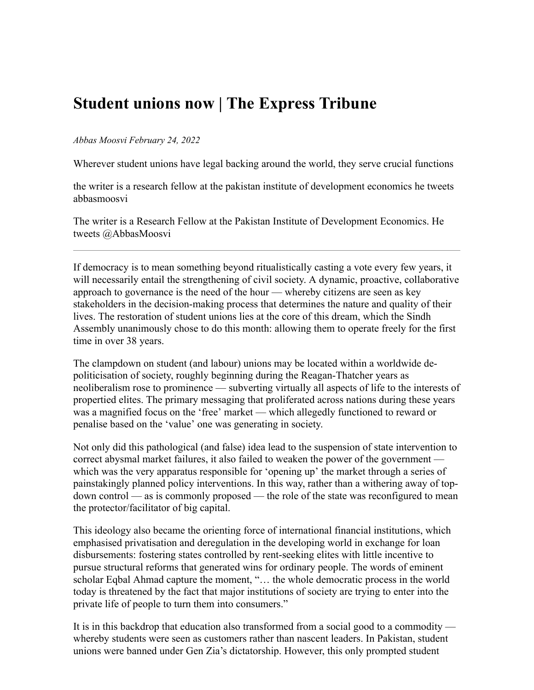## **Student unions now | The Express Tribune**

## *Abbas Moosvi February 24, 2022*

Wherever student unions have legal backing around the world, they serve crucial functions

the writer is a research fellow at the pakistan institute of development economics he tweets abbasmoosvi

The writer is a Research Fellow at the Pakistan Institute of Development Economics. He tweets @AbbasMoosvi

If democracy is to mean something beyond ritualistically casting a vote every few years, it will necessarily entail the strengthening of civil society. A dynamic, proactive, collaborative approach to governance is the need of the hour — whereby citizens are seen as key stakeholders in the decision-making process that determines the nature and quality of their lives. The restoration of student unions lies at the core of this dream, which the Sindh Assembly unanimously chose to do this month: allowing them to operate freely for the first time in over 38 years.

The clampdown on student (and labour) unions may be located within a worldwide depoliticisation of society, roughly beginning during the Reagan-Thatcher years as neoliberalism rose to prominence — subverting virtually all aspects of life to the interests of propertied elites. The primary messaging that proliferated across nations during these years was a magnified focus on the 'free' market — which allegedly functioned to reward or penalise based on the 'value' one was generating in society.

Not only did this pathological (and false) idea lead to the suspension of state intervention to correct abysmal market failures, it also failed to weaken the power of the government which was the very apparatus responsible for 'opening up' the market through a series of painstakingly planned policy interventions. In this way, rather than a withering away of topdown control — as is commonly proposed — the role of the state was reconfigured to mean the protector/facilitator of big capital.

This ideology also became the orienting force of international financial institutions, which emphasised privatisation and deregulation in the developing world in exchange for loan disbursements: fostering states controlled by rent-seeking elites with little incentive to pursue structural reforms that generated wins for ordinary people. The words of eminent scholar Eqbal Ahmad capture the moment, "… the whole democratic process in the world today is threatened by the fact that major institutions of society are trying to enter into the private life of people to turn them into consumers."

It is in this backdrop that education also transformed from a social good to a commodity whereby students were seen as customers rather than nascent leaders. In Pakistan, student unions were banned under Gen Zia's dictatorship. However, this only prompted student